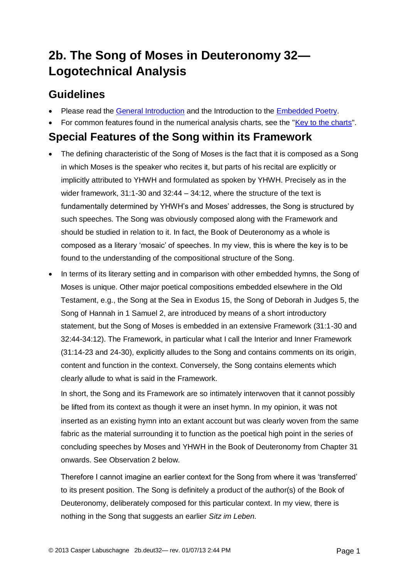# **2b. The Song of Moses in Deuteronomy 32— Logotechnical Analysis**

## **Guidelines**

- Please read the [General Introduction](http://www.labuschagne.nl/aspects.pdf) and the Introduction to the [Embedded Poetry.](http://www.labuschagne.nl/intro.embed.pdf)
- For common features found in the numerical analysis charts, see the ["Key to the charts"](http://www.labuschagne.nl/keytocharts.pdf).

### **Special Features of the Song within its Framework**

- The defining characteristic of the Song of Moses is the fact that it is composed as a Song in which Moses is the speaker who recites it, but parts of his recital are explicitly or implicitly attributed to YHWH and formulated as spoken by YHWH. Precisely as in the wider framework, 31:1-30 and 32:44 – 34:12, where the structure of the text is fundamentally determined by YHWH's and Moses' addresses, the Song is structured by such speeches. The Song was obviously composed along with the Framework and should be studied in relation to it. In fact, the Book of Deuteronomy as a whole is composed as a literary 'mosaic' of speeches. In my view, this is where the key is to be found to the understanding of the compositional structure of the Song.
- In terms of its literary setting and in comparison with other embedded hymns, the Song of Moses is unique. Other major poetical compositions embedded elsewhere in the Old Testament, e.g., the Song at the Sea in Exodus 15, the Song of Deborah in Judges 5, the Song of Hannah in 1 Samuel 2, are introduced by means of a short introductory statement, but the Song of Moses is embedded in an extensive Framework (31:1-30 and 32:44-34:12). The Framework, in particular what I call the Interior and Inner Framework (31:14-23 and 24-30), explicitly alludes to the Song and contains comments on its origin, content and function in the context. Conversely, the Song contains elements which clearly allude to what is said in the Framework.

In short, the Song and its Framework are so intimately interwoven that it cannot possibly be lifted from its context as though it were an inset hymn. In my opinion, it was not inserted as an existing hymn into an extant account but was clearly woven from the same fabric as the material surrounding it to function as the poetical high point in the series of concluding speeches by Moses and YHWH in the Book of Deuteronomy from Chapter 31 onwards. See Observation 2 below.

Therefore I cannot imagine an earlier context for the Song from where it was 'transferred' to its present position. The Song is definitely a product of the author(s) of the Book of Deuteronomy, deliberately composed for this particular context. In my view, there is nothing in the Song that suggests an earlier *Sitz im Leben.*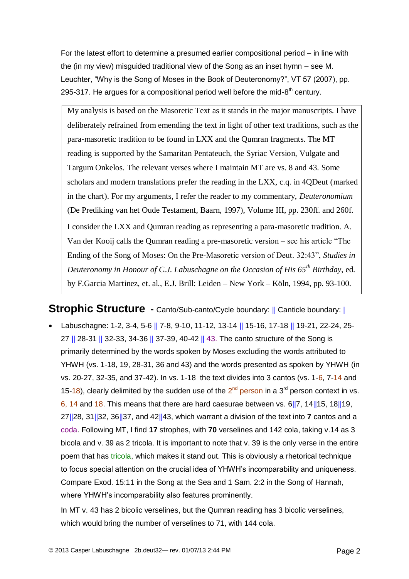For the latest effort to determine a presumed earlier compositional period – in line with the (in my view) misguided traditional view of the Song as an inset hymn – see M. Leuchter, "Why is the Song of Moses in the Book of Deuteronomy?", VT 57 (2007), pp. 295-317. He argues for a compositional period well before the mid-8<sup>th</sup> century.

My analysis is based on the Masoretic Text as it stands in the major manuscripts. I have deliberately refrained from emending the text in light of other text traditions, such as the para-masoretic tradition to be found in LXX and the Qumran fragments. The MT reading is supported by the Samaritan Pentateuch, the Syriac Version, Vulgate and Targum Onkelos. The relevant verses where I maintain MT are vs. 8 and 43. Some scholars and modern translations prefer the reading in the LXX, c.q. in 4QDeut (marked in the chart). For my arguments, I refer the reader to my commentary, *Deuteronomium* (De Prediking van het Oude Testament, Baarn, 1997), Volume III, pp. 230ff. and 260f. I consider the LXX and Qumran reading as representing a para-masoretic tradition. A. Van der Kooij calls the Qumran reading a pre-masoretic version – see his article "The Ending of the Song of Moses: On the Pre-Masoretic version of Deut. 32:43", *Studies in Deuteronomy in Honour of C.J. Labuschagne on the Occasion of His 65th Birthday*, ed. by F.Garcia Martinez, et. al., E.J. Brill: Leiden – New York – Köln, 1994, pp. 93-100.

**Strophic Structure** - Canto/Sub-canto/Cycle boundary: || Canticle boundary: |

• Labuschagne: 1-2, 3-4, 5-6 || 7-8, 9-10, 11-12, 13-14 || 15-16, 17-18 || 19-21, 22-24, 25-27 || 28-31 || 32-33, 34-36 || 37-39, 40-42 || 43. The canto structure of the Song is primarily determined by the words spoken by Moses excluding the words attributed to YHWH (vs. 1-18, 19, 28-31, 36 and 43) and the words presented as spoken by YHWH (in vs. 20-27, 32-35, and 37-42). In vs. 1-18 the text divides into 3 cantos (vs. 1-6, 7-14 and 15-18), clearly delimited by the sudden use of the  $2^{nd}$  person in a 3<sup>rd</sup> person context in vs. 6, 14 and 18. This means that there are hard caesurae between vs. 6||7, 14||15, 18||19, 27||28, 31||32, 36||37, and 42||43, which warrant a division of the text into **7** cantos and a coda. Following MT, I find **17** strophes, with **70** verselines and 142 cola, taking v.14 as 3 bicola and v. 39 as 2 tricola. It is important to note that v. 39 is the only verse in the entire poem that has tricola, which makes it stand out. This is obviously a rhetorical technique to focus special attention on the crucial idea of YHWH's incomparability and uniqueness. Compare Exod. 15:11 in the Song at the Sea and 1 Sam. 2:2 in the Song of Hannah, where YHWH's incomparability also features prominently.

In MT v. 43 has 2 bicolic verselines, but the Qumran reading has 3 bicolic verselines, which would bring the number of verselines to 71, with 144 cola.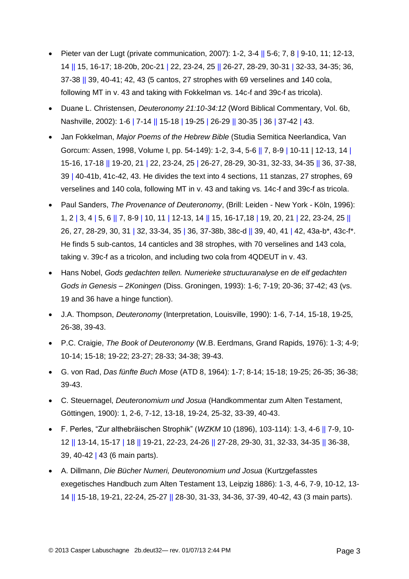- Pieter van der Lugt (private communication, 2007): 1-2, 3-4  $\parallel$  5-6; 7, 8  $\parallel$  9-10, 11; 12-13, 14 || 15, 16-17; 18-20b, 20c-21 | 22, 23-24, 25 || 26-27, 28-29, 30-31 | 32-33, 34-35; 36, 37-38 || 39, 40-41; 42, 43 (5 cantos, 27 strophes with 69 verselines and 140 cola, following MT in v. 43 and taking with Fokkelman vs. 14c-f and 39c-f as tricola).
- Duane L. Christensen, *Deuteronomy 21:10-34:12* (Word Biblical Commentary, Vol. 6b, Nashville, 2002): 1-6 | 7-14 || 15-18 | 19-25 | 26-29 || 30-35 | 36 | 37-42 | 43.
- Jan Fokkelman, *Major Poems of the Hebrew Bible* (Studia Semitica Neerlandica, Van Gorcum: Assen, 1998, Volume I, pp. 54-149): 1-2, 3-4, 5-6 || 7, 8-9 | 10-11 | 12-13, 14 | 15-16, 17-18 || 19-20, 21 | 22, 23-24, 25 | 26-27, 28-29, 30-31, 32-33, 34-35 || 36, 37-38, 39 | 40-41b, 41c-42, 43. He divides the text into 4 sections, 11 stanzas, 27 strophes, 69 verselines and 140 cola, following MT in v. 43 and taking vs. 14c-f and 39c-f as tricola.
- Paul Sanders, *The Provenance of Deuteronomy*, (Brill: Leiden New York Köln, 1996): 1, 2 | 3, 4 | 5, 6 || 7, 8-9 | 10, 11 | 12-13, 14 || 15, 16-17,18 | 19, 20, 21 | 22, 23-24, 25 || 26, 27, 28-29, 30, 31 | 32, 33-34, 35 | 36, 37-38b, 38c-d || 39, 40, 41 | 42, 43a-b\*, 43c-f\*. He finds 5 sub-cantos, 14 canticles and 38 strophes, with 70 verselines and 143 cola, taking v. 39c-f as a tricolon, and including two cola from 4QDEUT in v. 43.
- Hans Nobel, *Gods gedachten tellen. Numerieke structuuranalyse en de elf gedachten Gods in Genesis – 2Koningen* (Diss. Groningen, 1993): 1-6; 7-19; 20-36; 37-42; 43 (vs. 19 and 36 have a hinge function).
- J.A. Thompson, *Deuteronomy* (Interpretation, Louisville, 1990): 1-6, 7-14, 15-18, 19-25, 26-38, 39-43.
- P.C. Craigie, *The Book of Deuteronomy* (W.B. Eerdmans, Grand Rapids, 1976): 1-3; 4-9; 10-14; 15-18; 19-22; 23-27; 28-33; 34-38; 39-43.
- G. von Rad, *Das fünfte Buch Mose* (ATD 8, 1964): 1-7; 8-14; 15-18; 19-25; 26-35; 36-38; 39-43.
- C. Steuernagel, *Deuteronomium und Josua* (Handkommentar zum Alten Testament, Göttingen, 1900): 1, 2-6, 7-12, 13-18, 19-24, 25-32, 33-39, 40-43.
- F. Perles, "Zur althebräischen Strophik" (*WZKM* 10 (1896), 103-114): 1-3, 4-6 || 7-9, 10- 12 || 13-14, 15-17 | 18 || 19-21, 22-23, 24-26 || 27-28, 29-30, 31, 32-33, 34-35 || 36-38, 39, 40-42 | 43 (6 main parts).
- A. Dillmann, *Die Bücher Numeri, Deuteronomium und Josua* (Kurtzgefasstes exegetisches Handbuch zum Alten Testament 13, Leipzig 1886): 1-3, 4-6, 7-9, 10-12, 13- 14 || 15-18, 19-21, 22-24, 25-27 || 28-30, 31-33, 34-36, 37-39, 40-42, 43 (3 main parts).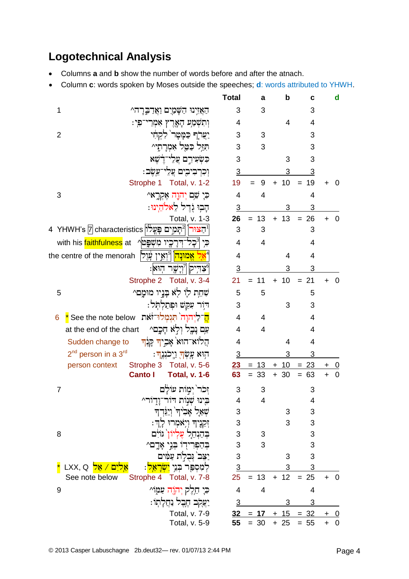# **Logotechnical Analysis**

- Columns **a** and **b** show the number of words before and after the atnach.
- Column **c**: words spoken by Moses outside the speeches; **d**: words attributed to YHWH.

|                                                                                                       | <b>Total</b>             | a              | b               | C                | d                        |  |
|-------------------------------------------------------------------------------------------------------|--------------------------|----------------|-----------------|------------------|--------------------------|--|
| 1<br>הַאֲזִינוּ הַשָּׁמַיִם וַאֲדַבְּרָה^                                                             | 3                        | 3              |                 | 3                |                          |  |
| וְתִשְׁמַע הָאֶרֶץ אִמְרֵי־פִי:                                                                       | 4                        |                | 4               | $\overline{4}$   |                          |  |
| تنقلط فقفص ذكائد<br>$\overline{2}$                                                                    | 3                        | 3              |                 | 3                |                          |  |
| הַזַּל כַּטֲל אָמְרַתֵּי^                                                                             | 3                        | 3              |                 | 3                |                          |  |
| כִּשְׂעִירִם עֲלֵי־דֵׂשֵׁא                                                                            | 3                        |                | 3               | 3                |                          |  |
| וִכְרִבְיִבְיִם עֲלֵי־עֵשֶׁב:                                                                         | $\overline{3}$           |                | 3               | 3                |                          |  |
| Strophe 1 Total, v. 1-2                                                                               | 19                       | 9<br>$=$       | $+10$           | 19<br>$=$        | ÷<br>O                   |  |
| 3<br>כִּיָ שֵׁם יְהוֶה אֶקְרֱאי                                                                       | $\overline{\mathcal{A}}$ | 4              |                 | 4                |                          |  |
| הַבְוּ וְרֵל לֵא <i>לֹ</i> הֵינוּ:                                                                    | $\overline{3}$           |                | 3               | 3                |                          |  |
| Total, v. 1-3                                                                                         | 26                       | $= 13$         | $+ 13$          | $= 26$           | 0<br>$+$                 |  |
| 4   YHWH's  7 characteristics  تقدر   مجالية مجموع التي التقريب المستبدء المستبدء المستبدء المستبدء ا | 3                        | 3              |                 | 3                |                          |  |
| תִי ןְ ⊂ָל־דִּרָכֶיו מִשִׁפֵָּטן with his <mark>faithfulness</mark> at                                | 4                        | $\overline{4}$ |                 | 4                |                          |  |
|                                                                                                       | 4                        |                | 4               | 4                |                          |  |
| 'יַצְהִיק  [יְיָשֶׁר הְוּא                                                                            | $\overline{3}$           |                | 3               | 3                |                          |  |
| Strophe 2 Total, v. 3-4                                                                               | 21                       | 11<br>$=$      | $+ 10$          | $= 21$           | 0<br>$\ddot{}$           |  |
| שְׁחֵת לִוּ לְא בָּנֵיו מוּמָם^<br>5                                                                  | 5                        | 5              |                 | 5                |                          |  |
| דור עקש ופתלתל:                                                                                       | 3                        |                | 3               | 3                |                          |  |
| <mark>ה</mark> ־לַיִהוָה תִּגְמְלוּ־זֹאת See the note below <mark>*</mark><br>6                       | $\overline{4}$           | 4              |                 | 4                |                          |  |
| עַם נָבֶל וִלְא חָכֱם^<br>at the end of the chart                                                     | 4                        | 4              |                 | 4                |                          |  |
| הַלוֹא־הוּא אָבְיךְ קְנֶךְ<br>Sudden change to                                                        | 4                        |                | 4               | 4                |                          |  |
| 2 <sup>nd</sup> person in a 3 <sup>rd</sup><br>ּהִוּא עָשְׂ <mark>ךְ וַיְכֹנְגֶ</mark> ךְ:            | $\overline{3}$           |                | 3               | 3                |                          |  |
| person context Strophe 3 Total, v. 5-6                                                                |                          | $23 = 13$      | 10<br>$+$       | <u>23</u><br>$=$ | +                        |  |
| <b>Canto I</b><br><b>Total, v. 1-6</b>                                                                | 63                       | $= 33$         | $+30$           | 63<br>$=$        | $\mathbf 0$<br>$\ddot{}$ |  |
| זִכֹר` יִמְוֹת עוֹלֵם<br>$\overline{7}$                                                               | 3                        | 3              |                 | 3                |                          |  |
| בינוּ שְׁנַוֹת דור־וָדְוֹר^                                                                           | 4                        | 4              |                 | 4                |                          |  |
| שִׁאֲלָ אָבִידִּ וְיַגְּדְדָ                                                                          | 3                        |                | 3               | 3                |                          |  |
| זִקְנֵיה וִיִאמְרוּ לַדְ:                                                                             | 3                        |                | 3               | 3                |                          |  |
| 8<br>בהנחל עליון גוים                                                                                 | 3                        | 3              |                 | 3                |                          |  |
| בְהַפְרִידִו בְּנֵי אָדֶם^<br>עמים                                                                    | 3<br>3                   | 3              | 3               | 3<br>3           |                          |  |
| <u>ים / אֱל</u> LXX, Q<br>למספר בני <mark>ישראל</mark>                                                | $\overline{3}$           |                | 3               | 3                |                          |  |
| See note below<br>Strophe 4 Total, v. 7-8                                                             | 25                       | 13<br>$=$      | 12<br>$\ddot{}$ | $= 25$           | $\mathbf 0$<br>$+$       |  |
| ּכִּיָ חֵלֵק יִהְוֶה עַמָּוֹ^<br>9                                                                    | $\overline{\mathbf{4}}$  | 4              |                 | 4                |                          |  |
| -נֹגֹּלִב הָבָל נ <sup>ּ</sup> חַלְתוּ                                                                | $\overline{3}$           |                | 3               | 3                |                          |  |
| Total, v. 7-9                                                                                         | 32                       | 17<br>$=$      | 15<br>$+$       | $= 32$           | +                        |  |
| Total, v. 5-9                                                                                         | 55                       | $= 30$         | $+25$           | $= 55$           | $\boldsymbol{0}$<br>$+$  |  |
|                                                                                                       |                          |                |                 |                  |                          |  |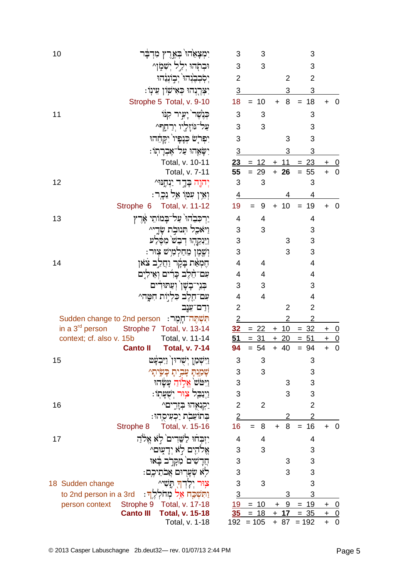| יִמְצָאֵׂהו <sup>ּי</sup> בְּאֱרֶץ מִדְבָּר<br>10        | 3                                                                                                                                                                                                                                                                                                                                                                                                                                                                                                                                                                                                                                                                                                                                              | 3                                                                                                                                                                             |                                                                                                                        | 3                                                                                                             |                                                                                                                                               |                                              |
|----------------------------------------------------------|------------------------------------------------------------------------------------------------------------------------------------------------------------------------------------------------------------------------------------------------------------------------------------------------------------------------------------------------------------------------------------------------------------------------------------------------------------------------------------------------------------------------------------------------------------------------------------------------------------------------------------------------------------------------------------------------------------------------------------------------|-------------------------------------------------------------------------------------------------------------------------------------------------------------------------------|------------------------------------------------------------------------------------------------------------------------|---------------------------------------------------------------------------------------------------------------|-----------------------------------------------------------------------------------------------------------------------------------------------|----------------------------------------------|
| וּבִהְהוּ יִלֵל יִשְׁמָוַ^                               | 3                                                                                                                                                                                                                                                                                                                                                                                                                                                                                                                                                                                                                                                                                                                                              | 3                                                                                                                                                                             |                                                                                                                        | 3                                                                                                             |                                                                                                                                               |                                              |
| יִסְׁבְבֵנְהוּ יִבְוֹנְיֶהוּ                             | $\overline{2}$                                                                                                                                                                                                                                                                                                                                                                                                                                                                                                                                                                                                                                                                                                                                 |                                                                                                                                                                               | $\overline{2}$                                                                                                         | $\overline{2}$                                                                                                |                                                                                                                                               |                                              |
| יִצְרֶנְהוּ כְּאִישָׂוֹן עֵינְוֹ:                        | $\overline{3}$                                                                                                                                                                                                                                                                                                                                                                                                                                                                                                                                                                                                                                                                                                                                 |                                                                                                                                                                               | 3                                                                                                                      | 3                                                                                                             |                                                                                                                                               |                                              |
| Strophe 5 Total, v. 9-10                                 | 18                                                                                                                                                                                                                                                                                                                                                                                                                                                                                                                                                                                                                                                                                                                                             | 10<br>$=$                                                                                                                                                                     | 8<br>$\ddot{}$                                                                                                         | 18<br>$=$                                                                                                     | $\pm$                                                                                                                                         | 0                                            |
| ּכִּנְשֵׁר יָעִיר קִנּוֹ<br>11                           | 3                                                                                                                                                                                                                                                                                                                                                                                                                                                                                                                                                                                                                                                                                                                                              | 3                                                                                                                                                                             |                                                                                                                        | 3                                                                                                             |                                                                                                                                               |                                              |
| עֲל־גּוֹזֶלֵיו יִרַחֲת                                   | 3                                                                                                                                                                                                                                                                                                                                                                                                                                                                                                                                                                                                                                                                                                                                              | 3                                                                                                                                                                             |                                                                                                                        | 3                                                                                                             |                                                                                                                                               |                                              |
| יִפְרְֹשׂ כְּנָפְיוֹ יִקָהָהוּ                           | 3                                                                                                                                                                                                                                                                                                                                                                                                                                                                                                                                                                                                                                                                                                                                              |                                                                                                                                                                               | 3                                                                                                                      | 3                                                                                                             |                                                                                                                                               |                                              |
| יִשָּׂאֱהוּ עַל־אֵבְרָתְוֹ:                              | $\overline{3}$                                                                                                                                                                                                                                                                                                                                                                                                                                                                                                                                                                                                                                                                                                                                 |                                                                                                                                                                               | 3                                                                                                                      | 3                                                                                                             |                                                                                                                                               |                                              |
| Total, v. 10-11                                          |                                                                                                                                                                                                                                                                                                                                                                                                                                                                                                                                                                                                                                                                                                                                                | $= 12$                                                                                                                                                                        | $+ 11$                                                                                                                 | $= 23$                                                                                                        |                                                                                                                                               | $\overline{0}$                               |
| Total, v. 7-11                                           | 55                                                                                                                                                                                                                                                                                                                                                                                                                                                                                                                                                                                                                                                                                                                                             | $= 29$                                                                                                                                                                        | $+ 26$                                                                                                                 | 55<br>$=$                                                                                                     |                                                                                                                                               |                                              |
| 12<br>יְהוֶה בְּדֶד יַנְחֶנּוּ^                          | 3                                                                                                                                                                                                                                                                                                                                                                                                                                                                                                                                                                                                                                                                                                                                              | 3                                                                                                                                                                             |                                                                                                                        | 3                                                                                                             |                                                                                                                                               |                                              |
| וְאֵין עִמְוֹ אֵל נֵכֶר:                                 | $\overline{4}$                                                                                                                                                                                                                                                                                                                                                                                                                                                                                                                                                                                                                                                                                                                                 |                                                                                                                                                                               | 4                                                                                                                      | 4                                                                                                             |                                                                                                                                               |                                              |
| Strophe 6 Total, v. 11-12                                | 19                                                                                                                                                                                                                                                                                                                                                                                                                                                                                                                                                                                                                                                                                                                                             | 9<br>$=$                                                                                                                                                                      | 10<br>$\ddot{}$                                                                                                        | 19<br>$=$                                                                                                     | +                                                                                                                                             | O                                            |
| יַרְכִּבִׂהוּ` עַל־בָּמוֹתֵי אֶרֶץ<br>13                 | 4                                                                                                                                                                                                                                                                                                                                                                                                                                                                                                                                                                                                                                                                                                                                              | 4                                                                                                                                                                             |                                                                                                                        | 4                                                                                                             |                                                                                                                                               |                                              |
|                                                          | $\sqrt{3}$                                                                                                                                                                                                                                                                                                                                                                                                                                                                                                                                                                                                                                                                                                                                     | 3                                                                                                                                                                             |                                                                                                                        | 3                                                                                                             |                                                                                                                                               |                                              |
|                                                          | $\ensuremath{\mathsf{3}}$                                                                                                                                                                                                                                                                                                                                                                                                                                                                                                                                                                                                                                                                                                                      |                                                                                                                                                                               | 3                                                                                                                      | 3                                                                                                             |                                                                                                                                               |                                              |
| וִשֶׁמֵן מֵחַלְמִישׁ צִוּר:                              | 3                                                                                                                                                                                                                                                                                                                                                                                                                                                                                                                                                                                                                                                                                                                                              |                                                                                                                                                                               | 3                                                                                                                      | 3                                                                                                             |                                                                                                                                               |                                              |
| חֵמְאֵת בָּמֶר וַחֲלֵב צֹאו<br>14                        | $\overline{\mathbf{4}}$                                                                                                                                                                                                                                                                                                                                                                                                                                                                                                                                                                                                                                                                                                                        | 4                                                                                                                                                                             |                                                                                                                        | 4                                                                                                             |                                                                                                                                               |                                              |
| עם־הֵלֶב כָּרִים וְאֵילִיִם                              | 4                                                                                                                                                                                                                                                                                                                                                                                                                                                                                                                                                                                                                                                                                                                                              | 4                                                                                                                                                                             |                                                                                                                        | 4                                                                                                             |                                                                                                                                               |                                              |
| בִּנֵי־בָשָׁן וִעַתּוּדִים                               | 3                                                                                                                                                                                                                                                                                                                                                                                                                                                                                                                                                                                                                                                                                                                                              | 3                                                                                                                                                                             |                                                                                                                        | 3                                                                                                             |                                                                                                                                               |                                              |
| עם־חֱלֵב כִּלְיָוֹת חִמֲה^                               | 4                                                                                                                                                                                                                                                                                                                                                                                                                                                                                                                                                                                                                                                                                                                                              | $\overline{4}$                                                                                                                                                                |                                                                                                                        | 4                                                                                                             |                                                                                                                                               |                                              |
| וִדַם־עֵנֶב                                              | $\overline{2}$                                                                                                                                                                                                                                                                                                                                                                                                                                                                                                                                                                                                                                                                                                                                 |                                                                                                                                                                               | 2                                                                                                                      | $\overline{2}$                                                                                                |                                                                                                                                               |                                              |
| תִּשְׁתֵּה־חָמֶה: Sudden change to 2nd person            | $\overline{2}$                                                                                                                                                                                                                                                                                                                                                                                                                                                                                                                                                                                                                                                                                                                                 |                                                                                                                                                                               | $\overline{2}$                                                                                                         | $\overline{2}$                                                                                                |                                                                                                                                               |                                              |
| in a $3^{\text{rd}}$ person<br>Strophe 7 Total, v. 13-14 |                                                                                                                                                                                                                                                                                                                                                                                                                                                                                                                                                                                                                                                                                                                                                | $= 22$                                                                                                                                                                        | 10<br>$+$                                                                                                              | <u>32</u><br>$=$                                                                                              |                                                                                                                                               | $\overline{0}$                               |
|                                                          |                                                                                                                                                                                                                                                                                                                                                                                                                                                                                                                                                                                                                                                                                                                                                |                                                                                                                                                                               |                                                                                                                        |                                                                                                               | $\ddot{}$                                                                                                                                     | $\mathbf 0$                                  |
|                                                          |                                                                                                                                                                                                                                                                                                                                                                                                                                                                                                                                                                                                                                                                                                                                                |                                                                                                                                                                               |                                                                                                                        |                                                                                                               |                                                                                                                                               | $\mathbf 0$                                  |
|                                                          |                                                                                                                                                                                                                                                                                                                                                                                                                                                                                                                                                                                                                                                                                                                                                |                                                                                                                                                                               |                                                                                                                        |                                                                                                               |                                                                                                                                               |                                              |
|                                                          |                                                                                                                                                                                                                                                                                                                                                                                                                                                                                                                                                                                                                                                                                                                                                |                                                                                                                                                                               |                                                                                                                        |                                                                                                               |                                                                                                                                               |                                              |
|                                                          |                                                                                                                                                                                                                                                                                                                                                                                                                                                                                                                                                                                                                                                                                                                                                |                                                                                                                                                                               |                                                                                                                        |                                                                                                               |                                                                                                                                               |                                              |
|                                                          |                                                                                                                                                                                                                                                                                                                                                                                                                                                                                                                                                                                                                                                                                                                                                |                                                                                                                                                                               |                                                                                                                        |                                                                                                               |                                                                                                                                               |                                              |
|                                                          |                                                                                                                                                                                                                                                                                                                                                                                                                                                                                                                                                                                                                                                                                                                                                |                                                                                                                                                                               |                                                                                                                        |                                                                                                               |                                                                                                                                               |                                              |
|                                                          |                                                                                                                                                                                                                                                                                                                                                                                                                                                                                                                                                                                                                                                                                                                                                |                                                                                                                                                                               |                                                                                                                        |                                                                                                               |                                                                                                                                               |                                              |
|                                                          |                                                                                                                                                                                                                                                                                                                                                                                                                                                                                                                                                                                                                                                                                                                                                |                                                                                                                                                                               |                                                                                                                        |                                                                                                               |                                                                                                                                               |                                              |
|                                                          |                                                                                                                                                                                                                                                                                                                                                                                                                                                                                                                                                                                                                                                                                                                                                |                                                                                                                                                                               |                                                                                                                        |                                                                                                               |                                                                                                                                               |                                              |
|                                                          |                                                                                                                                                                                                                                                                                                                                                                                                                                                                                                                                                                                                                                                                                                                                                |                                                                                                                                                                               |                                                                                                                        |                                                                                                               |                                                                                                                                               |                                              |
|                                                          |                                                                                                                                                                                                                                                                                                                                                                                                                                                                                                                                                                                                                                                                                                                                                |                                                                                                                                                                               |                                                                                                                        |                                                                                                               |                                                                                                                                               |                                              |
|                                                          |                                                                                                                                                                                                                                                                                                                                                                                                                                                                                                                                                                                                                                                                                                                                                |                                                                                                                                                                               |                                                                                                                        |                                                                                                               |                                                                                                                                               |                                              |
|                                                          |                                                                                                                                                                                                                                                                                                                                                                                                                                                                                                                                                                                                                                                                                                                                                |                                                                                                                                                                               |                                                                                                                        |                                                                                                               |                                                                                                                                               |                                              |
|                                                          |                                                                                                                                                                                                                                                                                                                                                                                                                                                                                                                                                                                                                                                                                                                                                |                                                                                                                                                                               |                                                                                                                        |                                                                                                               |                                                                                                                                               |                                              |
|                                                          |                                                                                                                                                                                                                                                                                                                                                                                                                                                                                                                                                                                                                                                                                                                                                |                                                                                                                                                                               |                                                                                                                        |                                                                                                               | +                                                                                                                                             | $\overline{0}$<br>$\overline{0}$             |
| Total, v. 1-18                                           |                                                                                                                                                                                                                                                                                                                                                                                                                                                                                                                                                                                                                                                                                                                                                | $= 105$                                                                                                                                                                       | $+ 87$                                                                                                                 | $= 192$                                                                                                       | +                                                                                                                                             | $\mathbf 0$                                  |
|                                                          | וַיּאָכֵל תִּנוּבְת שָׂדֱי^<br>וַיִּנְקֵהְוּ דְּבַשׁ מִפֶּלַע<br>context; cf. also v. 15b<br>Total, v. 11-14<br><b>Canto II</b><br><b>Total, v. 7-14</b><br>15<br>וַיִּשְׁמַן יִשְרוּן וַיִּבְעָט<br>שָׁמַנִּתַּ עַבִיתַ כַּשֵׂיתַ^<br>וַיִּטּׂשׁ אֱלִוֹהַ עַשָּׂהוּ<br>ניִנַּבֵּל צַוּר יִשְׁעַתָוֹ:<br>16<br>יַקִנְאָהוּ בְזֶרֶים^<br>ּבְתוֹעֲבָת יַכְעִיסֻהוּ:<br>Total, v. 15-16<br>Strophe 8<br>יִזִּבְחוּ לַשֶּׁדִים לְא אֱלֹהַ<br>17<br>אֱלֹהִים לְא יִדְעָוּם^<br>חֲדָשִׁים מִקְרָב בָּאוּ<br>לָא שִׂעָרִים אֲבֹתֵיכֶם:<br>צְוּר יְלָדְךָ תֵעָׁי^<br>18 Sudden change<br><u>וַתְּשָׁכָּח אֵל מְחֹלְלֶךְ:</u><br>to 2nd person in a 3rd<br>Strophe 9<br>Total, v. 17-18<br>person context<br><b>Canto III</b><br><b>Total, v. 15-18</b> | 32<br>51<br>94<br>3<br>3<br>3<br>3<br>$\overline{2}$<br>$\overline{2}$<br>16<br>4<br>3<br>$\ensuremath{\mathsf{3}}$<br>$\ensuremath{\mathsf{3}}$<br>3<br>$\overline{3}$<br>35 | 23<br>$= 31$<br>$= 54$<br>3<br>3<br>$\overline{2}$<br>8<br>$=$<br>4<br>3<br>3<br>$= 10$<br><u> 19</u><br>$= 18$<br>192 | $+20$<br>$+ 40$<br>3<br>3<br>$\overline{2}$<br>8<br>$\ddot{}$<br>3<br>3<br>3<br>-9<br>$\ddagger$<br>$+$<br>17 | 51<br>$=$<br>$= 94$<br>3<br>3<br>3<br>3<br>$\overline{2}$<br>$\overline{2}$<br>16<br>$=$<br>4<br>3<br>3<br>3<br>3<br>3<br>19<br>$=$<br>$= 35$ | $+$<br>$+ 0$<br>$+$<br>$\ddot{}$<br>+<br>$+$ |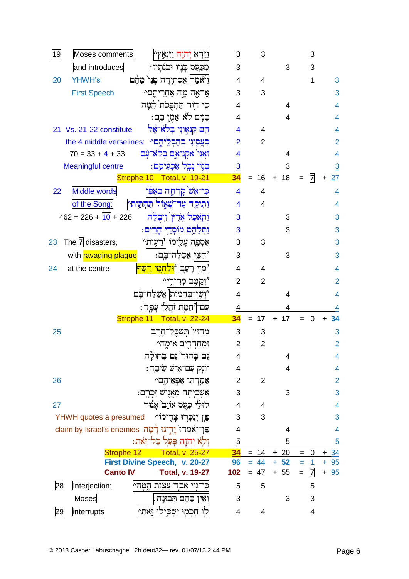| 19<br>Moses comments<br><u>וי</u> ִּרְא יְהוֶה וַיִּנְאָץ^                        | 3                       | 3              |                 | 3                   |                          |
|-----------------------------------------------------------------------------------|-------------------------|----------------|-----------------|---------------------|--------------------------|
| and introduces<br>מִכַּעַס בָּנֵיו וּבִנֹתַיו:                                    | 3                       |                | 3               | 3                   |                          |
| <b>YHWH's</b><br>20<br>וַיֹּאמֶר  אַסְתִּיָרָה פָּנֵי מֵהֶם                       | 4                       | 4              |                 | 1                   | 3                        |
| <b>First Speech</b><br>אֶראֶה מֶה אַחֲרִיתֶם^                                     | 3                       | 3              |                 |                     | 3                        |
| כי דור תהפכת המה                                                                  | 4                       |                | 4               |                     | 4                        |
| ּבַּנֵים לֹאִ־אֵמֶן בֶּם:                                                         | 4                       |                | 4               |                     | $\overline{4}$           |
| הם קנאוני בלא־אֵל<br>Vs. 21-22 constitute<br>21                                   | 4                       | 4              |                 |                     | 4                        |
| בְעֲסִוּנִי בְּהַבְלֵיהֶם^ :the 4 middle verselines                               | $\overline{2}$          | $\overline{2}$ |                 |                     | $\overline{2}$           |
| וַאֲנִי אַקְנִיאֵם בִּלֹאִ־עַּׁם<br>$70 = 33 + 4 + 33$                            | 4                       |                | 4               |                     | 4                        |
| בִּגְוֹי נַבֵל אַכְעִיסֶם:<br><b>Meaningful centre</b>                            | $\overline{3}$          |                | 3               |                     | 3                        |
| Strophe 10 Total, v. 19-21                                                        | 34                      | 16             | 18<br>$+$       | 7                   | 27<br>$\ddot{}$          |
| <b>Middle words</b><br>כִּי־אֵשׁ קִדְחָה בְאַפִּין<br>22                          | $\overline{\mathbf{4}}$ | $\overline{4}$ |                 |                     | $\overline{4}$           |
| of the Song:<br>נַתִּיקַד עַד־שָׁאָוֹל תַּחְתֵיתי                                 | 4                       | 4              |                 |                     | $\overline{\mathcal{A}}$ |
| $462 = 226 + 10 + 226$<br>נתאכל אָרץ  וַיִבְלַה                                   | 3                       |                | 3               |                     | 3                        |
| <u>וַתְּלַהֵט מוֹסְדִי הַרִים:</u>                                                | 3                       |                | 3               |                     | 3                        |
| The 7 disasters,<br>אַסְפֶּה עָלֵימוֹ  יִרְעָוֹת<br>23                            | 3                       | 3              |                 |                     | 3                        |
| with ravaging plague<br><sup>מ</sup> חִצַּיִן אֲכַלֵּה־בָּם:                      | 3                       |                | 3               |                     | 3                        |
| <sup>3</sup> ֹמְזֵי רָעָבן 1 <mark>וּלִחְמֵי רֵשֶׁף</mark><br>at the centre<br>24 | 4                       | 4              |                 |                     | $\overline{4}$           |
| יּוְקֵטֶּב מְרִירֵיץ                                                              | $\overline{2}$          | $\overline{2}$ |                 |                     | $\overline{2}$           |
| יִּישֶׁן־בִּהֵמוֹת  אֲשָׁלַח־בַּם                                                 | 4                       |                | 4               |                     | 4                        |
| עםץ'חֵמַת זחַלִי<br>עפ ו                                                          | 4                       |                | 4               |                     | 4                        |
| Strophe 11 Total, v. 22-24                                                        | 34                      | $= 17$         | 17<br>$\ddot{}$ | $\mathbf 0$<br>$=$  | 34<br>$\ddot{}$          |
| מחוץ תשכל־חרב<br>25                                                               | 3                       | 3              |                 |                     | 3                        |
| וּמֶחֲדָרִים אֵימָהי                                                              | $\overline{2}$          | $\overline{2}$ |                 |                     | $\overline{2}$           |
| נֵם־בָחוּר` נַם־בְתוּלָה                                                          | 4                       |                |                 |                     | 4                        |
| יוֹנֶק עִם־אִישׁ שֵׂיבָה:                                                         | 4                       |                | 4               |                     | 4                        |
| אָמַרְתִּי אַפְאֵיהֶם^<br>26                                                      | 2                       | $\overline{2}$ |                 |                     | $\overline{2}$           |
| אַשְׁבִיתָה מֵאֱנִוֹשׁ זִכְרָם:                                                   | 3                       |                | 3               |                     | 3                        |
| לוּלֵי כַעֲס אוֹיֵב`אָנוּר<br>27                                                  | 4                       | 4              |                 |                     | $\overline{\mathbf{4}}$  |
| פֶּן־יְנַכְרִוּ צָרֱימוֹ^<br>YHWH quotes a presumed                               | 3                       | 3              |                 |                     | 3                        |
| פֵן־יְאמָרוּ` יָדֵינוּ רָבְתָה claim by Israel's enemies                          | 4                       |                | 4               |                     | $\overline{4}$           |
| וְלִא יִהוֶה פָּעַל כַּל־זְאת:                                                    | 5                       |                | 5               |                     | 5                        |
| Total, v. 25-27<br>Strophe 12                                                     | 34                      | $= 14$         | $+20$           | $\mathbf 0$<br>$=$  | $+ 34$                   |
| First Divine Speech, v. 20-27                                                     | 96                      | $= 44 + 52$    |                 | $\mathbf{1}$<br>$=$ | $+95$                    |
| <b>Canto IV</b><br><b>Total, v. 19-27</b>                                         | 102                     | $= 47$         | $+ 55$          | 7<br>$=$            | $+95$                    |
| Interjection:<br>כִּי־גָוֹי אֹבָד עֵצְוֹת הָמָהץ<br>28                            | 5                       | 5              |                 | 5                   |                          |
| <b>Moses</b><br>וְאֵין בָהֶם תִּבוּנֵה:                                           | 3                       |                | 3               | 3                   |                          |
| לוּ חַכְמוּ יַשְׂכִילוּ זְאתי<br>interrupts<br>29                                 | 4                       | 4              |                 | 4                   |                          |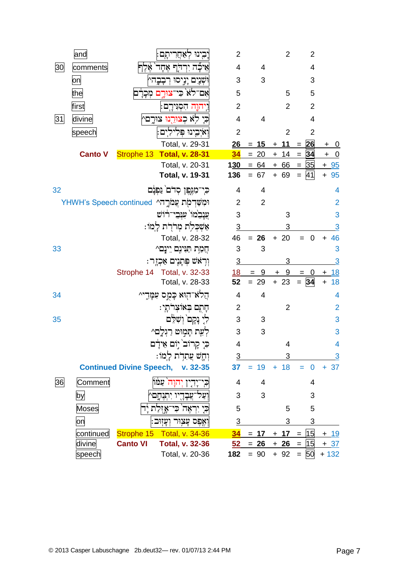|    | and            |                 | בינו לאחריתם                                    | 2              |                | $\overline{2}$ | $\overline{2}$     |                         |
|----|----------------|-----------------|-------------------------------------------------|----------------|----------------|----------------|--------------------|-------------------------|
| 30 | comments       | 78              | אַיכָה יִרְדְרָ אֶחָד                           | 4              | 4              |                | 4                  |                         |
|    | on             |                 | וּשְׁנָיִם יָנִיסוּ רְבָבֶה^                    | 3              | 3              |                | 3                  |                         |
|    | the            |                 | אם־לא כי־צורם מכרם                              | 5              |                | 5              | 5                  |                         |
|    | first          |                 | ויהוֶה הִסְגִּירָם:                             | $\overline{2}$ |                | $\overline{2}$ | $\overline{2}$     |                         |
| 31 | divine         |                 | כי לא כצורנו צורם^                              | $\overline{4}$ | $\overline{4}$ |                | $\overline{4}$     |                         |
|    | speech         |                 | וְאֹיְבֵינוּ פִּלִילִים:                        | $\overline{2}$ |                | $\overline{2}$ | $\overline{2}$     |                         |
|    |                |                 | Total, v. 29-31                                 | 26             | $= 15$         | $+ 11$         | $= 26$             | <u>+ 0</u>              |
|    | <b>Canto V</b> |                 | Strophe 13 Total, v. 28-31                      | 34             | $= 20$         | $+ 14 =$       | 34                 | $+$ 0                   |
|    |                |                 | Total, v. 20-31                                 | <b>130</b>     |                | $= 64 + 66 =$  | 35                 | $+ 95$                  |
|    |                |                 | Total, v. 19-31                                 | 136            | $= 67$         | $+ 69$         | 41<br>$\equiv$     | $+95$                   |
| 32 |                |                 | כִּי־מִגֶּפֶן סְדֹם נַפְנָם                     | 4              | 4              |                |                    | 4                       |
|    |                |                 | וּמִשַּׁדְמָׂת עֲמֹרֶהי YHWH's Speech continued | $\overline{2}$ | $\overline{2}$ |                |                    | $\overline{2}$          |
|    |                |                 | ַעֲנָבִֽנזוֹ עִנְבֵי־רֹוֹשׁ                     | 3              |                | 3              |                    | 3                       |
|    |                |                 | אַשִׁכִלִת מִרֹרָת לָמוֹ:                       | $\overline{3}$ |                | 3              |                    | 3                       |
|    |                |                 | Total, v. 28-32                                 | 46             | $= 26$         | $+20$          | $\mathbf 0$<br>$=$ | 46<br>$\ddot{}$         |
| 33 |                |                 | חֲמָת תַּנִּינֶם יֵינָם^                        | 3              | 3              |                |                    | 3                       |
|    |                |                 | וְרָאֹשׁ פְּתָנֶיִם אַכְזֶר:                    | 3              |                | 3              |                    | $\overline{3}$          |
|    |                |                 | Strophe 14 Total, v. 32-33                      | <u>18</u>      | 9<br>$=$       | 9<br>$+$       | $= 0$              | <u>18</u><br>$+$        |
|    |                |                 | Total, v. 28-33                                 | 52             | $= 29$         | $+23$          | $= 34$             | 18<br>$\ddot{}$         |
| 34 |                |                 | הֲלֹא הָוֹּא כָּמֶס עִמָּׂדֵי^                  | 4              | 4              |                |                    | 4                       |
|    |                |                 | חָתֶם בְּאוֹצְרֹתָי:                            | $\overline{2}$ |                | $\overline{2}$ |                    | $\overline{2}$          |
| 35 |                |                 | לִי נָקָם וִשָּׁלֵּם                            | 3              | 3              |                |                    | 3                       |
|    |                |                 | לִעֵת תַּמְוּט רַגִלֶם^                         | 3              | 3              |                |                    | 3                       |
|    |                |                 | כִּי קָרוֹב <sup>י</sup> יִוֹם אֵידַם           | 4              |                | 4              |                    | $\overline{\mathbf{4}}$ |
|    |                |                 | וְחָשׁ צִתִּרְת לְמוֹ:                          | $\overline{3}$ |                | 3              |                    | $\overline{3}$          |
|    |                |                 | <b>Continued Divine Speech, v. 32-35</b>        | 37             | 19<br>I,       | $+ 18$         | $\mathbf 0$<br>÷,  | $+ 37$                  |
| 36 | Comment        |                 | יִהוַה עַמּוֹ                                   | 4              | 4              |                | 4                  |                         |
|    | by             |                 | ־עֲבָדִיו יִתְנֻחָם                             | 3              | 3              |                | 3                  |                         |
|    | <b>Moses</b>   |                 | יאָה כִּי־אָזְלַת                               | 5              |                | 5              | 5                  |                         |
|    | on             |                 | וְאֶפֶס עָצְוּר וְעָזִוּב                       | $\overline{3}$ |                | 3              | 3                  |                         |
|    | continued      | Strophe 15      | <b>Total, v. 34-36</b>                          | 34             | 17<br>$=$      | $+ 17$         | 15<br>$=$          | <u>+ 19</u>             |
|    | <u>divine</u>  | <b>Canto VI</b> | <b>Total, v. 32-36</b>                          | 52             | $= 26$         | $+26$          | 15<br>$=$          | <u>+ 37</u>             |
|    | speech         |                 | Total, v. 20-36                                 | 182            | $= 90$         | $+92$          | $= 50$             | $+132$                  |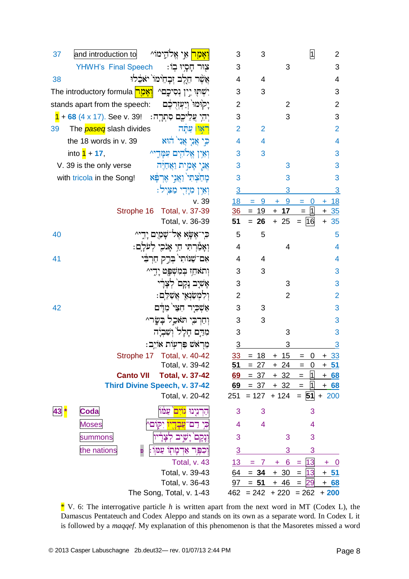| <mark>ואַמַר</mark> אֵי אֵלהֵימוֹ^<br>and introduction to<br>37             | 3              | 3       |                               | 1                       | $\overline{2}$          |
|-----------------------------------------------------------------------------|----------------|---------|-------------------------------|-------------------------|-------------------------|
| YHWH's Final Speech<br>צְוּר חָסָיוּ בִוֹ:                                  | 3              |         | 3                             |                         | 3                       |
| אֲשֶׁר הֵלֵב זִּבְהִימוֹ יאֹבָלוּ<br>38                                     | 4              | 4       |                               |                         | $\overline{\mathbf{4}}$ |
| יִשְׁתְּוּ יֵין נְסִיכֶם^ <mark>וְאָמַר</mark> The introductory formula     | 3              | 3       |                               |                         | 3                       |
| יַקוּמוּ וְיַעְזִרְבֶם<br>stands apart from the speech:                     | $\overline{2}$ |         | $\overline{2}$                |                         | $\overline{2}$          |
| יְהִי עֲלֵיכֶם סִתְרָה: See v. 39! זַהְי עֲלֵיכֶם סִתְרָה: 1 + 68 (4 x 17). | 3              |         | 3                             |                         | 3                       |
| The <i>paseq</i> slash divides<br><mark>ראון</mark> עתה<br>39               | $\overline{2}$ | 2       |                               |                         | $\overline{2}$          |
| כִּי אֲנִי אֲנִי הוֹא<br>the 18 words in v. 39                              | 4              | 4       |                               |                         | $\overline{\mathbf{4}}$ |
| into $1 + 17$ ,<br>ואין אלהים עמדיי                                         | 3              | 3       |                               |                         | 3                       |
| אֲנֶי אָמְית וַאֲחַיֵּה<br>V. 39 is the only verse                          | 3              |         | 3                             |                         | 3                       |
| מָחַצְתִּי וַאֲנֵי אֵרִפָּא<br>with tricola in the Song!                    | 3              |         | 3                             |                         | 3                       |
| וְאֵין מִיָּהִי מַצִּיל:                                                    | 3              |         | 3                             |                         | 3                       |
| v. 39                                                                       | 18             | 9<br>I, | 9<br>÷                        | 0<br>$=$                | <u>18</u><br>÷          |
| Strophe 16 Total, v. 37-39                                                  | 36             | $= 19$  | $+ 17$                        | 1 <br>$=$               | 35<br>$\ddagger$        |
| Total, v. 36-39                                                             | 51             | $= 26$  | $+25$                         | 16<br>$=$               | 35<br>$\ddot{}$         |
| כִּי־אֵשָׂא אֵל־שָׁמַיִם יַדִי^<br>40                                       | 5              | 5       |                               |                         | 5                       |
| וְאָמַרְחִי חַיְ אָנֹכִי לְעֹלַם:                                           | $\overline{4}$ |         | 4                             |                         | 4                       |
| אִם־שַׁנּוֹתִי בְּרָק חַרְבִּי<br>41                                        | 4              | 4       |                               |                         | $\overline{\mathbf{4}}$ |
| וִתאֹחֵז בִמְשִׁפָּט יַדִי^                                                 | 3              | 3       |                               |                         | 3                       |
| אָשִׁיָב נָקָם לִצָּרִי                                                     | 3              |         | 3                             |                         | 3                       |
| וִלְמְשַׂנְאֵי אֲשָׁלֵם:                                                    | $\overline{2}$ |         | $\overline{2}$                |                         | $\overline{2}$          |
| אַשְׁכִיר חָצִי מִדַּם<br>42                                                | 3              | 3       |                               |                         | 3                       |
| וְחַרְבִי תֹּאֲכֵל בַּשֲׂרֵ^                                                | 3              | 3       |                               |                         | 3                       |
| מִדַּם חָלָל וְשָׁבְיָה                                                     | 3              |         | 3                             |                         | 3                       |
| מֵרָאֹשׁ פַּרְעִוֹת אוֹיֵב:                                                 | $\overline{3}$ |         | 3                             |                         | $\overline{3}$          |
| Strophe 17 Total, v. 40-42                                                  | <u>33</u>      | 18      | 15                            | $\overline{\mathbf{0}}$ | 33                      |
| Total, v. 39-42                                                             | 51             | $= 27$  | $+24$                         | $\mathbf 0$<br>$=$      | <u>+ 51</u>             |
| <b>Canto VII</b><br><b>Total, v. 37-42</b>                                  | 69             | $= 37$  | $+ 32$                        | 11<br>$=$               | <u>68</u><br>$+$        |
| <b>Third Divine Speech, v. 37-42</b>                                        | <u>69</u>      | $= 37$  | $+ 32$                        | 1 <br>$=$               | <u>+ 68</u>             |
| Total, v. 20-42                                                             | 251            | $= 127$ | $+124$                        | $=  51 $                | $+200$                  |
| <b>Coda</b><br><u>קרנינוּ גוֹיָם עמוֹ</u><br>43 <mark>*</mark>              | 3              | 3       |                               | 3                       |                         |
| ני דם־ <mark>עבדיו</mark> יִקוֹם^<br><b>Moses</b>                           | 4              | 4       |                               | 4                       |                         |
| summons<br>יָנְקָם יָשִׁיב לִצ <del>ַ</del> נ                               | 3              |         | 3                             | 3                       |                         |
| the nations<br>וכִפֶּר אַדמַתְוֹ עַמּוֹ:<br>Đ                               | $\overline{3}$ |         | 3                             | 3                       |                         |
| Total, v. 43                                                                | 13             | $= 7$   | 6<br>$+$                      | 13<br>$=$               | $\pm$<br><u>_0</u>      |
| Total, v. 39-43                                                             | 64             | $= 34$  | $+30$                         | 13<br>$=$               | <u>+ 51</u>             |
| Total, v. 36-43                                                             | 97             | $= 51$  | $+ 46$                        | 29<br>$=$               | <u>+ 68</u>             |
| The Song, Total, v. 1-43                                                    |                |         | $462 = 242 + 220 = 262 + 200$ |                         |                         |

\* V. 6: The interrogative particle *h* is written apart from the next word in MT (Codex L), the Damascus Pentateuch and Codex Aleppo and stands on its own as a separate word. In Codex L it is followed by a *maqqef*. My explanation of this phenomenon is that the Masoretes missed a word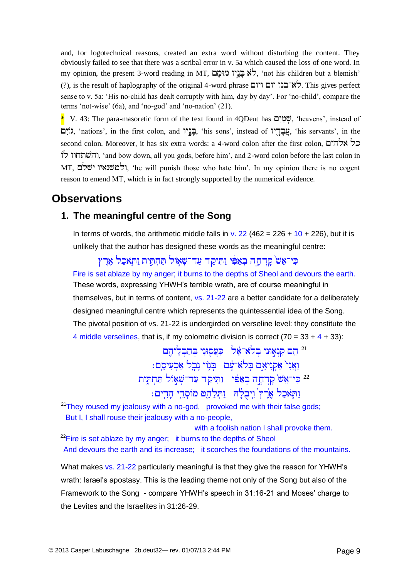and, for logotechnical reasons, created an extra word without disturbing the content. They obviously failed to see that there was a scribal error in v. 5a which caused the loss of one word. In my opinion, the present 3-word reading in MT, לֹא בְּנֵיו מוּמָם, 'not his children but a blemish' (?), is the result of haplography of the original 4-word phrase .  $\forall x \in \mathbb{R}$ . This gives perfect sense to v. 5a: 'His no-child has dealt corruptly with him, day by day'. For 'no-child', compare the terms 'not-wise' (6a), and 'no-god' and 'no-nation' (21).

 $*$  V. 43: The para-masoretic form of the text found in 4QDeut has  $\mathbb{Q}$ ליָם (heavens', instead of , 'nations', in the first colon, and , 'his sons', instead of , 'his servants', in the second colon. Moreover, it has six extra words: a 4-word colon after the first colon, , 'and bow down, all you gods, before him', and 2-word colon before the last colon in MT, ולמשנאיו ישלם. 'he will punish those who hate him'. In my opinion there is no cogent reason to emend MT, which is in fact strongly supported by the numerical evidence.

### **Observations**

#### **1. The meaningful centre of the Song**

In terms of words, the arithmetic middle falls in v.  $22(462 = 226 + 10 + 226)$ , but it is unlikely that the author has designed these words as the meaningful centre:

כִּי־אֵשׁ קַדְחָה בְאַפִּי וַתִּיקָד עַד־שָׁאֲוֹל תַּחְתֵּית וַתְּאֹכָל אֶרֶץ Fire is set ablaze by my anger; it burns to the depths of Sheol and devours the earth. These words, expressing YHWH's terrible wrath, are of course meaningful in themselves, but in terms of content, vs. 21-22 are a better candidate for a deliberately designed meaningful centre which represents the quintessential idea of the Song. The pivotal position of vs. 21-22 is undergirded on verseline level: they constitute the 4 middle verselines, that is, if my colometric division is correct  $(70 = 33 + 4 + 33)$ :

> <sup>21</sup> הֵם קִנְאִוּנִי בְלֹאֹ־אֶל | כְּעֲסְוּנִי בְּהַבְלֵיהֶם וַאֲנִי´ אַקְנִיאֵם בִּלֹא־עַׁם | בִּגְוֹי נָבֶל אַכְעִיסֵם: <sup>22</sup> כִּי־אֵשׁ קַדְחַה בְאַפִּי - וַתִּיקַד עַד־שָׁאָוֹל תַּחִתֵּית וַתְאֹכֵל אֶרֶץ וְיִבְלֶ<sup>נְ</sup>הִ וַתְּלַחֵט מוֹסְדֵי הַרִים:

 $21$ They roused my jealousy with a no-god, provoked me with their false gods; But I, I shall rouse their jealousy with a no-people,

with a foolish nation I shall provoke them.

 $^{22}$ Fire is set ablaze by my anger; it burns to the depths of Sheol And devours the earth and its increase; it scorches the foundations of the mountains.

What makes vs. 21-22 particularly meaningful is that they give the reason for YHWH's wrath: Israel's apostasy. This is the leading theme not only of the Song but also of the Framework to the Song - compare YHWH's speech in 31:16-21 and Moses' charge to the Levites and the Israelites in 31:26-29.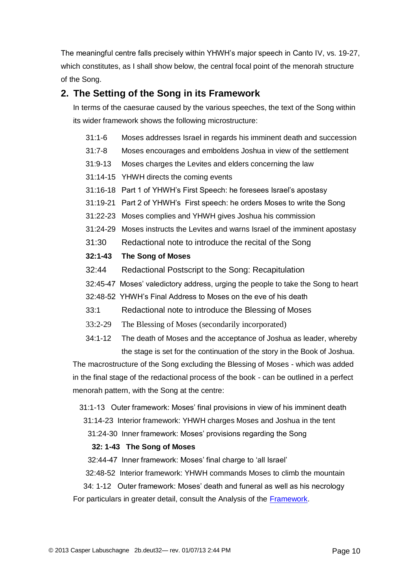The meaningful centre falls precisely within YHWH's major speech in Canto IV, vs. 19-27, which constitutes, as I shall show below, the central focal point of the menorah structure of the Song.

### **2. The Setting of the Song in its Framework**

In terms of the caesurae caused by the various speeches, the text of the Song within its wider framework shows the following microstructure:

- 31:1-6 Moses addresses Israel in regards his imminent death and succession
- 31:7-8 Moses encourages and emboldens Joshua in view of the settlement
- 31:9-13 Moses charges the Levites and elders concerning the law
- 31:14-15 YHWH directs the coming events
- 31:16-18 Part 1 of YHWH's First Speech: he foresees Israel's apostasy
- 31:19-21 Part 2 of YHWH's First speech: he orders Moses to write the Song
- 31:22-23 Moses complies and YHWH gives Joshua his commission
- 31:24-29 Moses instructs the Levites and warns Israel of the imminent apostasy
- 31:30 Redactional note to introduce the recital of the Song

#### **32:1-43 The Song of Moses**

- 32:44 Redactional Postscript to the Song: Recapitulation
- 32:45-47 Moses' valedictory address, urging the people to take the Song to heart
- 32:48-52 YHWH's Final Address to Moses on the eve of his death
- 33:1 Redactional note to introduce the Blessing of Moses
- 33:2-29 The Blessing of Moses (secondarily incorporated)
- 34:1-12 The death of Moses and the acceptance of Joshua as leader, whereby the stage is set for the continuation of the story in the Book of Joshua.

The macrostructure of the Song excluding the Blessing of Moses - which was added in the final stage of the redactional process of the book - can be outlined in a perfect menorah pattern, with the Song at the centre:

- 31:1-13 Outer framework: Moses' final provisions in view of his imminent death
	- 31:14-23 Interior framework: YHWH charges Moses and Joshua in the tent
	- 31:24-30 Inner framework: Moses' provisions regarding the Song

#### **32: 1-43 The Song of Moses**

32:44-47 Inner framework: Moses' final charge to 'all Israel'

32:48-52 Interior framework: YHWH commands Moses to climb the mountain

 34: 1-12 Outer framework: Moses' death and funeral as well as his necrology For particulars in greater detail, consult the Analysis of the [Framework.](http://www.labuschagne.nl/2a.deut32.pdf)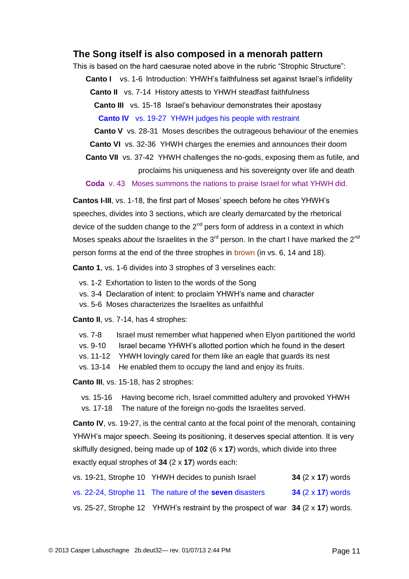#### **The Song itself is also composed in a menorah pattern**

This is based on the hard caesurae noted above in the rubric "Strophic Structure":

**Canto I** vs. 1-6 Introduction: YHWH's faithfulness set against Israel's infidelity

**Canto II** vs. 7-14 History attests to YHWH steadfast faithfulness

**Canto III** vs. 15-18 Israel's behaviour demonstrates their apostasy

**Canto IV** vs. 19-27 YHWH judges his people with restraint

 **Canto V** vs. 28-31 Moses describes the outrageous behaviour of the enemies

 **Canto VI** vs. 32-36 YHWH charges the enemies and announces their doom

**Canto VII** vs. 37-42 YHWH challenges the no-gods, exposing them as futile, and proclaims his uniqueness and his sovereignty over life and death

**Coda** v. 43 Moses summons the nations to praise Israel for what YHWH did.

**Cantos I-III**, vs. 1-18, the first part of Moses' speech before he cites YHWH's speeches, divides into 3 sections, which are clearly demarcated by the rhetorical device of the sudden change to the  $2<sup>nd</sup>$  pers form of address in a context in which Moses speaks *about* the Israelites in the 3<sup>rd</sup> person. In the chart I have marked the 2<sup>nd</sup> person forms at the end of the three strophes in brown (in vs. 6, 14 and 18).

**Canto 1**, vs. 1-6 divides into 3 strophes of 3 verselines each:

- vs. 1-2 Exhortation to listen to the words of the Song
- vs. 3-4 Declaration of intent: to proclaim YHWH's name and character
- vs. 5-6 Moses characterizes the Israelites as unfaithful

**Canto II**, vs. 7-14, has 4 strophes:

| vs. 7-8 |  |  | Israel must remember what happened when Elyon partitioned the world |  |  |  |
|---------|--|--|---------------------------------------------------------------------|--|--|--|
|---------|--|--|---------------------------------------------------------------------|--|--|--|

- vs. 9-10 Israel became YHWH's allotted portion which he found in the desert
- vs. 11-12 YHWH lovingly cared for them like an eagle that guards its nest
- vs. 13-14 He enabled them to occupy the land and enjoy its fruits.

**Canto III**, vs. 15-18, has 2 strophes:

vs. 15-16 Having become rich, Israel committed adultery and provoked YHWH

vs. 17-18 The nature of the foreign no-gods the Israelites served.

**Canto IV**, vs. 19-27, is the central canto at the focal point of the menorah, containing YHWH's major speech. Seeing its positioning, it deserves special attention. It is very skiffully designed, being made up of **102** (6 x **17**) words, which divide into three exactly equal strophes of **34** (2 x **17**) words each:

|  | vs. 19-21, Strophe 10 YHWH decides to punish Israel                                | 34 $(2 \times 17)$ words |
|--|------------------------------------------------------------------------------------|--------------------------|
|  | vs. 22-24, Strophe 11 The nature of the <b>seven</b> disasters                     | 34 $(2 \times 17)$ words |
|  | vs. 25-27, Strophe 12 YHWH's restraint by the prospect of war $34$ (2 x 17) words. |                          |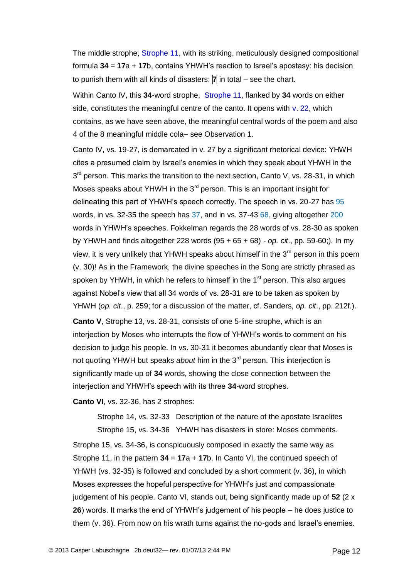The middle strophe, Strophe 11, with its striking, meticulously designed compositional formula **34** = **17**a + **17**b, contains YHWH's reaction to Israel's apostasy: his decision to punish them with all kinds of disasters: **7** in total – see the chart.

Within Canto IV, this **34**-word strophe, Strophe 11, flanked by **34** words on either side, constitutes the meaningful centre of the canto. It opens with  $v$ . 22, which contains, as we have seen above, the meaningful central words of the poem and also 4 of the 8 meaningful middle cola– see Observation 1.

Canto IV, vs. 19-27, is demarcated in v. 27 by a significant rhetorical device: YHWH cites a presumed claim by Israel's enemies in which they speak about YHWH in the 3<sup>rd</sup> person. This marks the transition to the next section, Canto V, vs. 28-31, in which Moses speaks about YHWH in the 3<sup>rd</sup> person. This is an important insight for delineating this part of YHWH's speech correctly. The speech in vs. 20-27 has 95 words, in vs. 32-35 the speech has 37, and in vs. 37-43 68, giving altogether 200 words in YHWH's speeches. Fokkelman regards the 28 words of vs. 28-30 as spoken by YHWH and finds altogether 228 words (95 + 65 + 68) - *op. cit*., pp. 59-60;). In my view, it is very unlikely that YHWH speaks about himself in the  $3<sup>rd</sup>$  person in this poem (v. 30)! As in the Framework, the divine speeches in the Song are strictly phrased as spoken by YHWH, in which he refers to himself in the  $1<sup>st</sup>$  person. This also argues against Nobel's view that all 34 words of vs. 28-31 are to be taken as spoken by YHWH (*op. cit*., p. 259; for a discussion of the matter, cf. Sanders, *op. cit*., pp. 212f.).

**Canto V**, Strophe 13, vs. 28-31, consists of one 5-line strophe, which is an interjection by Moses who interrupts the flow of YHWH's words to comment on his decision to judge his people. In vs. 30-31 it becomes abundantly clear that Moses is not quoting YHWH but speaks *about* him in the 3<sup>rd</sup> person. This interjection is significantly made up of **34** words, showing the close connection between the interjection and YHWH's speech with its three **34**-word strophes.

**Canto VI**, vs. 32-36, has 2 strophes:

Strophe 14, vs. 32-33 Description of the nature of the apostate Israelites Strophe 15, vs. 34-36 YHWH has disasters in store: Moses comments. Strophe 15, vs. 34-36, is conspicuously composed in exactly the same way as Strophe 11, in the pattern **34** = **17**a + **17**b. In Canto VI, the continued speech of YHWH (vs. 32-35) is followed and concluded by a short comment (v. 36), in which Moses expresses the hopeful perspective for YHWH's just and compassionate judgement of his people. Canto VI, stands out, being significantly made up of **52** (2 x **26**) words. It marks the end of YHWH's judgement of his people – he does justice to them (v. 36). From now on his wrath turns against the no-gods and Israel's enemies.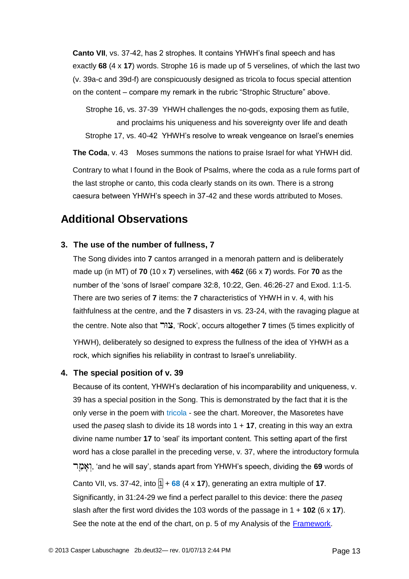**Canto VII**, vs. 37-42, has 2 strophes. It contains YHWH's final speech and has exactly **68** (4 x **17**) words. Strophe 16 is made up of 5 verselines, of which the last two (v. 39a-c and 39d-f) are conspicuously designed as tricola to focus special attention on the content – compare my remark in the rubric "Strophic Structure" above.

Strophe 16, vs. 37-39 YHWH challenges the no-gods, exposing them as futile, and proclaims his uniqueness and his sovereignty over life and death Strophe 17, vs. 40-42 YHWH's resolve to wreak vengeance on Israel's enemies

**The Coda**, v. 43 Moses summons the nations to praise Israel for what YHWH did.

Contrary to what I found in the Book of Psalms, where the coda as a rule forms part of the last strophe or canto, this coda clearly stands on its own. There is a strong caesura between YHWH's speech in 37-42 and these words attributed to Moses.

### **Additional Observations**

#### **3. The use of the number of fullness, 7**

The Song divides into **7** cantos arranged in a menorah pattern and is deliberately made up (in MT) of **70** (10 x **7**) verselines, with **462** (66 x **7**) words. For **70** as the number of the 'sons of Israel' compare 32:8, 10:22, Gen. 46:26-27 and Exod. 1:1-5. There are two series of **7** items: the **7** characteristics of YHWH in v. 4, with his faithfulness at the centre, and the **7** disasters in vs. 23-24, with the ravaging plague at the centre. Note also that , 'Rock', occurs altogether **7** times (5 times explicitly of YHWH), deliberately so designed to express the fullness of the idea of YHWH as a rock, which signifies his reliability in contrast to Israel's unreliability.

#### **4. The special position of v. 39**

Because of its content, YHWH's declaration of his incomparability and uniqueness, v. 39 has a special position in the Song. This is demonstrated by the fact that it is the only verse in the poem with tricola - see the chart. Moreover, the Masoretes have used the *paseq* slash to divide its 18 words into 1 + **17**, creating in this way an extra divine name number **17** to 'seal' its important content. This setting apart of the first word has a close parallel in the preceding verse, v. 37, where the introductory formula , 'and he will say', stands apart from YHWH's speech, dividing the **69** words of Canto VII, vs. 37-42, into  $\sqrt{1} + 68$  (4 x 17), generating an extra multiple of 17. Significantly, in 31:24-29 we find a perfect parallel to this device: there the *paseq* slash after the first word divides the 103 words of the passage in 1 + **102** (6 x **17**). See the note at the end of the chart, on p. 5 of my Analysis of the [Framework.](http://www.labuschagne.nl/2a.deut32.pdf)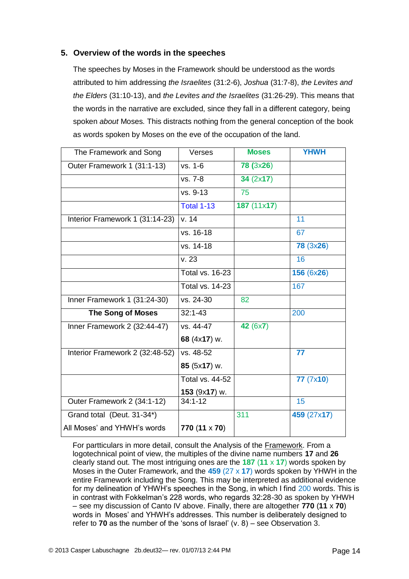#### **5. Overview of the words in the speeches**

The speeches by Moses in the Framework should be understood as the words attributed to him addressing *the Israelites* (31:2-6), *Joshua* (31:7-8), *the Levites and the Elders* (31:10-13), and *the Levites and the Israelites* (31:26-29). This means that the words in the narrative are excluded, since they fall in a different category, being spoken *about* Moses*.* This distracts nothing from the general conception of the book as words spoken by Moses on the eve of the occupation of the land.

| The Framework and Song          | Verses                 | <b>Moses</b>     | <b>YHWH</b>      |
|---------------------------------|------------------------|------------------|------------------|
| Outer Framework 1 (31:1-13)     | vs. 1-6                | <b>78 (3x26)</b> |                  |
|                                 | vs. 7-8                | 34 (2x17)        |                  |
|                                 | vs. 9-13               | 75               |                  |
|                                 | <b>Total 1-13</b>      | 187(11x17)       |                  |
| Interior Framework 1 (31:14-23) | v. 14                  |                  | 11               |
|                                 | vs. 16-18              |                  | 67               |
|                                 | vs. 14-18              |                  | <b>78 (3x26)</b> |
|                                 | v.23                   |                  | 16               |
|                                 | <b>Total vs. 16-23</b> |                  | 156(6x26)        |
|                                 | <b>Total vs. 14-23</b> |                  | 167              |
| Inner Framework 1 (31:24-30)    | vs. 24-30              | 82               |                  |
| <b>The Song of Moses</b>        | $32:1 - 43$            |                  | 200              |
| Inner Framework 2 (32:44-47)    | vs. 44-47              | 42 (6x7)         |                  |
|                                 | 68 (4x17) w.           |                  |                  |
| Interior Framework 2 (32:48-52) | vs. 48-52              |                  | 77               |
|                                 | 85 (5x17) w.           |                  |                  |
|                                 | Total vs. 44-52        |                  | 77(7x10)         |
|                                 | 153 (9x17) w.          |                  |                  |
| Outer Framework 2 (34:1-12)     | $34:1 - 12$            |                  | 15               |
| Grand total (Deut. 31-34*)      |                        | 311              | 459 (27x17)      |
| All Moses' and YHWH's words     | $770(11 \times 70)$    |                  |                  |

For partticulars in more detail, consult the Analysis of the Framework. From a logotechnical point of view, the multiples of the divine name numbers **17** and **26** clearly stand out. The most intriguing ones are the **187** (**11** x **17**) words spoken by Moses in the Outer Framework, and the **459** (27 x **17**) words spoken by YHWH in the entire Framework including the Song. This may be interpreted as additional evidence for my delineation of YHWH's speeches in the Song, in which I find 200 words. This is in contrast with Fokkelman's 228 words, who regards 32:28-30 as spoken by YHWH – see my discussion of Canto IV above. Finally, there are altogether **770** (**11** x **70**) words in Moses' and YHWH's addresses. This number is deliberately designed to refer to **70** as the number of the 'sons of Israel' (v. 8) – see Observation 3.